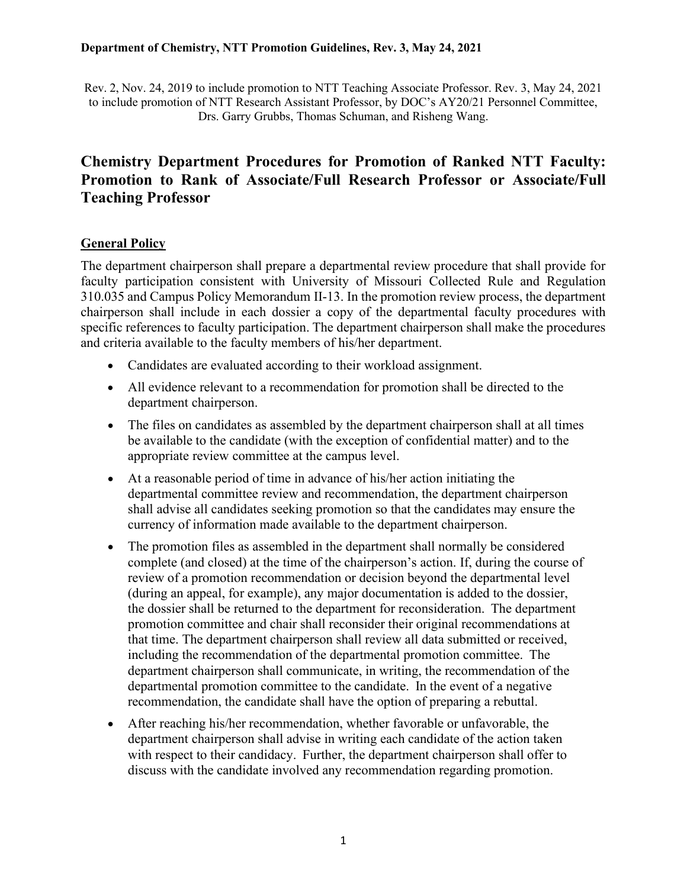Rev. 2, Nov. 24, 2019 to include promotion to NTT Teaching Associate Professor. Rev. 3, May 24, 2021 to include promotion of NTT Research Assistant Professor, by DOC's AY20/21 Personnel Committee, Drs. Garry Grubbs, Thomas Schuman, and Risheng Wang.

# **Chemistry Department Procedures for Promotion of Ranked NTT Faculty: Promotion to Rank of Associate/Full Research Professor or Associate/Full Teaching Professor**

# **General Policy**

The department chairperson shall prepare a departmental review procedure that shall provide for faculty participation consistent with University of Missouri Collected Rule and Regulation 310.035 and Campus Policy Memorandum II-13. In the promotion review process, the department chairperson shall include in each dossier a copy of the departmental faculty procedures with specific references to faculty participation. The department chairperson shall make the procedures and criteria available to the faculty members of his/her department.

- Candidates are evaluated according to their workload assignment.
- All evidence relevant to a recommendation for promotion shall be directed to the department chairperson.
- The files on candidates as assembled by the department chairperson shall at all times be available to the candidate (with the exception of confidential matter) and to the appropriate review committee at the campus level.
- At a reasonable period of time in advance of his/her action initiating the departmental committee review and recommendation, the department chairperson shall advise all candidates seeking promotion so that the candidates may ensure the currency of information made available to the department chairperson.
- The promotion files as assembled in the department shall normally be considered complete (and closed) at the time of the chairperson's action. If, during the course of review of a promotion recommendation or decision beyond the departmental level (during an appeal, for example), any major documentation is added to the dossier, the dossier shall be returned to the department for reconsideration. The department promotion committee and chair shall reconsider their original recommendations at that time. The department chairperson shall review all data submitted or received, including the recommendation of the departmental promotion committee. The department chairperson shall communicate, in writing, the recommendation of the departmental promotion committee to the candidate. In the event of a negative recommendation, the candidate shall have the option of preparing a rebuttal.
- After reaching his/her recommendation, whether favorable or unfavorable, the department chairperson shall advise in writing each candidate of the action taken with respect to their candidacy. Further, the department chairperson shall offer to discuss with the candidate involved any recommendation regarding promotion.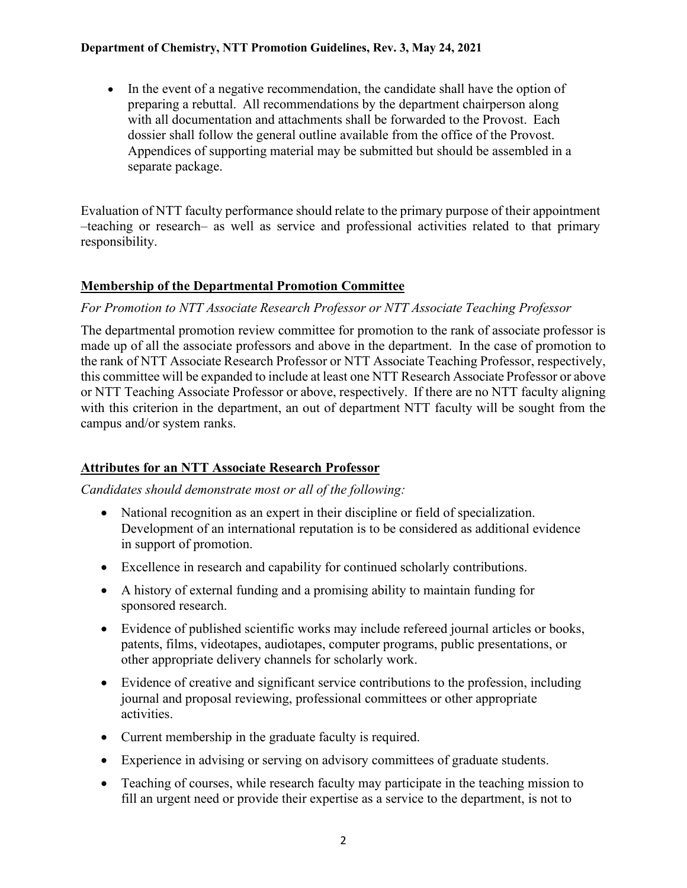#### **Department of Chemistry, NTT Promotion Guidelines, Rev. 3, May 24, 2021**

• In the event of a negative recommendation, the candidate shall have the option of preparing a rebuttal. All recommendations by the department chairperson along with all documentation and attachments shall be forwarded to the Provost. Each dossier shall follow the general outline available from the office of the Provost. Appendices of supporting material may be submitted but should be assembled in a separate package.

Evaluation of NTT faculty performance should relate to the primary purpose of their appointment –teaching or research– as well as service and professional activities related to that primary responsibility.

### **Membership of the Departmental Promotion Committee**

### *For Promotion to NTT Associate Research Professor or NTT Associate Teaching Professor*

The departmental promotion review committee for promotion to the rank of associate professor is made up of all the associate professors and above in the department. In the case of promotion to the rank of NTT Associate Research Professor or NTT Associate Teaching Professor, respectively, this committee will be expanded to include at least one NTT Research Associate Professor or above or NTT Teaching Associate Professor or above, respectively. If there are no NTT faculty aligning with this criterion in the department, an out of department NTT faculty will be sought from the campus and/or system ranks.

### **Attributes for an NTT Associate Research Professor**

*Candidates should demonstrate most or all of the following:*

- National recognition as an expert in their discipline or field of specialization. Development of an international reputation is to be considered as additional evidence in support of promotion.
- Excellence in research and capability for continued scholarly contributions.
- A history of external funding and a promising ability to maintain funding for sponsored research.
- Evidence of published scientific works may include refereed journal articles or books, patents, films, videotapes, audiotapes, computer programs, public presentations, or other appropriate delivery channels for scholarly work.
- Evidence of creative and significant service contributions to the profession, including journal and proposal reviewing, professional committees or other appropriate activities.
- Current membership in the graduate faculty is required.
- Experience in advising or serving on advisory committees of graduate students.
- Teaching of courses, while research faculty may participate in the teaching mission to fill an urgent need or provide their expertise as a service to the department, is not to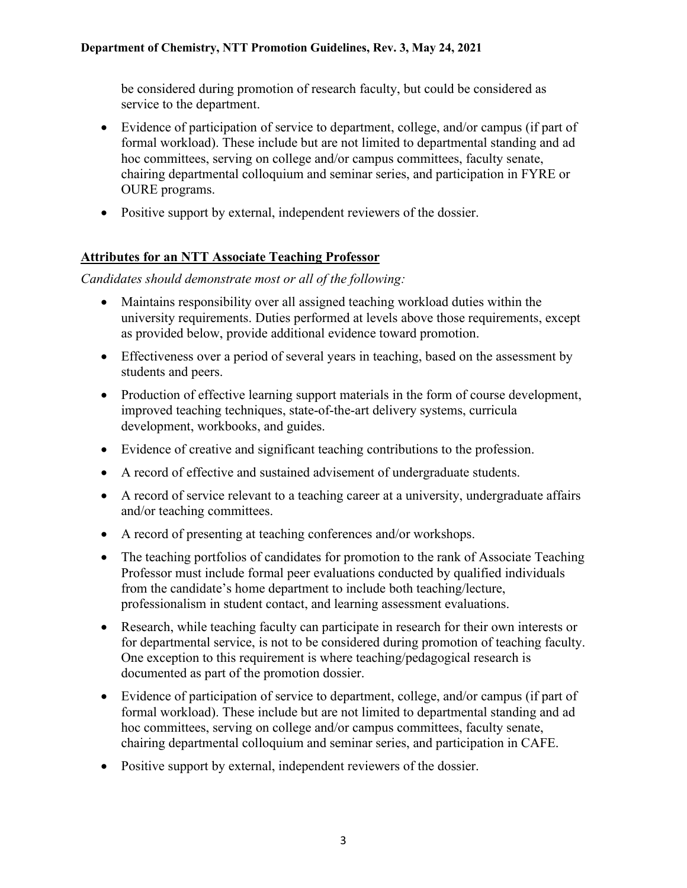be considered during promotion of research faculty, but could be considered as service to the department.

- Evidence of participation of service to department, college, and/or campus (if part of formal workload). These include but are not limited to departmental standing and ad hoc committees, serving on college and/or campus committees, faculty senate, chairing departmental colloquium and seminar series, and participation in FYRE or OURE programs.
- Positive support by external, independent reviewers of the dossier.

# **Attributes for an NTT Associate Teaching Professor**

*Candidates should demonstrate most or all of the following:*

- Maintains responsibility over all assigned teaching workload duties within the university requirements. Duties performed at levels above those requirements, except as provided below, provide additional evidence toward promotion.
- Effectiveness over a period of several years in teaching, based on the assessment by students and peers.
- Production of effective learning support materials in the form of course development, improved teaching techniques, state-of-the-art delivery systems, curricula development, workbooks, and guides.
- Evidence of creative and significant teaching contributions to the profession.
- A record of effective and sustained advisement of undergraduate students.
- A record of service relevant to a teaching career at a university, undergraduate affairs and/or teaching committees.
- A record of presenting at teaching conferences and/or workshops.
- The teaching portfolios of candidates for promotion to the rank of Associate Teaching Professor must include formal peer evaluations conducted by qualified individuals from the candidate's home department to include both teaching/lecture, professionalism in student contact, and learning assessment evaluations.
- Research, while teaching faculty can participate in research for their own interests or for departmental service, is not to be considered during promotion of teaching faculty. One exception to this requirement is where teaching/pedagogical research is documented as part of the promotion dossier.
- Evidence of participation of service to department, college, and/or campus (if part of formal workload). These include but are not limited to departmental standing and ad hoc committees, serving on college and/or campus committees, faculty senate, chairing departmental colloquium and seminar series, and participation in CAFE.
- Positive support by external, independent reviewers of the dossier.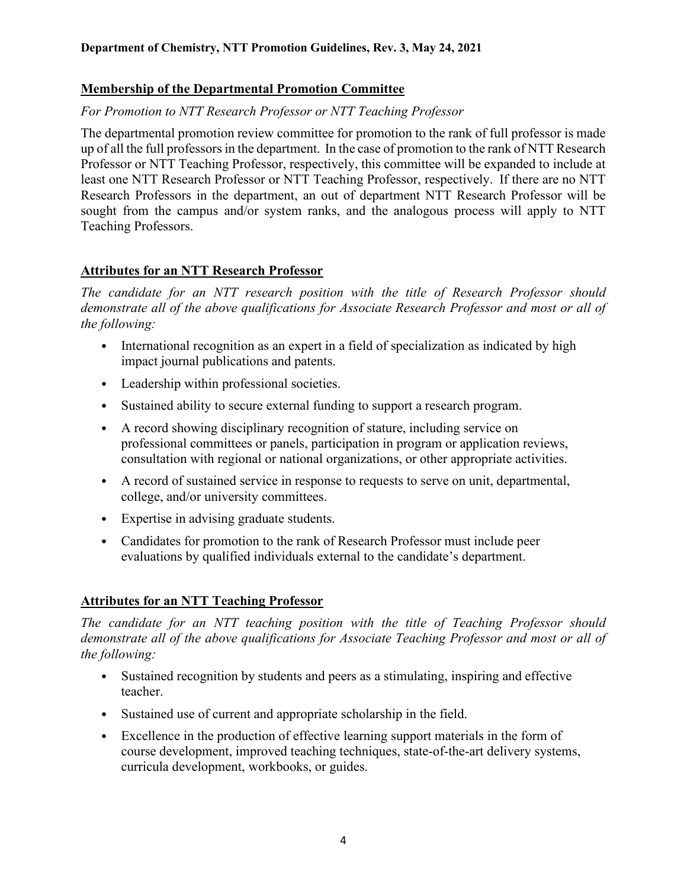# **Membership of the Departmental Promotion Committee**

# *For Promotion to NTT Research Professor or NTT Teaching Professor*

The departmental promotion review committee for promotion to the rank of full professor is made up of all the full professors in the department. In the case of promotion to the rank of NTT Research Professor or NTT Teaching Professor, respectively, this committee will be expanded to include at least one NTT Research Professor or NTT Teaching Professor, respectively. If there are no NTT Research Professors in the department, an out of department NTT Research Professor will be sought from the campus and/or system ranks, and the analogous process will apply to NTT Teaching Professors.

# **Attributes for an NTT Research Professor**

*The candidate for an NTT research position with the title of Research Professor should demonstrate all of the above qualifications for Associate Research Professor and most or all of the following:*

- International recognition as an expert in a field of specialization as indicated by high impact journal publications and patents.
- Leadership within professional societies.
- Sustained ability to secure external funding to support a research program.
- A record showing disciplinary recognition of stature, including service on professional committees or panels, participation in program or application reviews, consultation with regional or national organizations, or other appropriate activities.
- A record of sustained service in response to requests to serve on unit, departmental, college, and/or university committees.
- Expertise in advising graduate students.
- Candidates for promotion to the rank of Research Professor must include peer evaluations by qualified individuals external to the candidate's department.

# **Attributes for an NTT Teaching Professor**

*The candidate for an NTT teaching position with the title of Teaching Professor should demonstrate all of the above qualifications for Associate Teaching Professor and most or all of the following:*

- Sustained recognition by students and peers as a stimulating, inspiring and effective teacher.
- Sustained use of current and appropriate scholarship in the field.
- Excellence in the production of effective learning support materials in the form of course development, improved teaching techniques, state-of-the-art delivery systems, curricula development, workbooks, or guides.